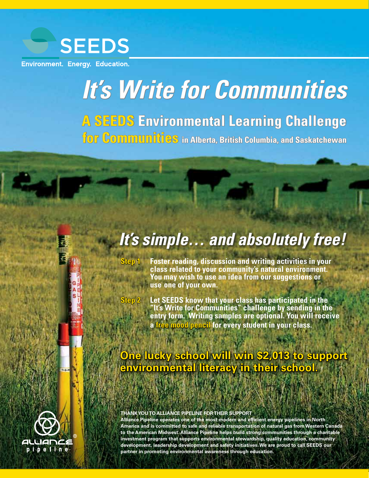

**Environment. Energy. Education.** 

# *It's Write for Communities*

**A SEEDS Environmental Learning Challenge**

**for Communities in Alberta, British Columbia, and Saskatchewan**

# *It's simple… and absolutely free!*

- **Step 1 Foster reading, discussion and writing activities in your class related to your community's natural environment. You may wish to use an idea from our suggestions or use one of your own.**
- 
- **Step 2 Let SEEDS know that your class has participated in the "It's Write for Communities" challenge by sending in the entry form. Writing samples are optional. You will receive a free mood pencil for every student in your class.**

# **One lucky school will win \$2,013 to support environmental literacy in their school.**

#### **THANK YOU TO ALLIANCE PIPELINE FOR THEIR SUPPORT**

**Alliance Pipeline operates one of the most modern and efficient energy pipelines in North America and is committed to safe and reliable transportation of natural gas from Western Canada to the American Midwest. Alliance Pipeline helps build strong communities through a charitable investment program that supports environmental stewardship, quality education, community development, leadership development and safety initiatives. We are proud to call SEEDS our partner in promoting environmental awareness through education.**